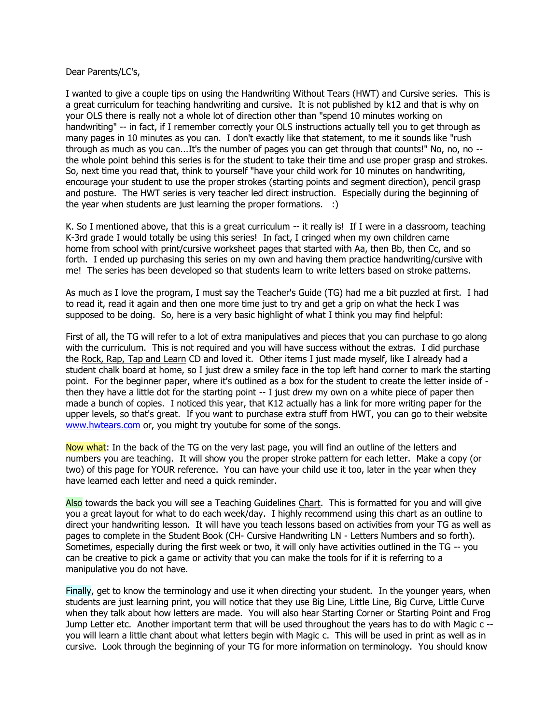Dear Parents/LC's,

I wanted to give a couple tips on using the Handwriting Without Tears (HWT) and Cursive series. This is a great curriculum for teaching handwriting and cursive. It is not published by k12 and that is why on your OLS there is really not a whole lot of direction other than "spend 10 minutes working on handwriting" -- in fact, if I remember correctly your OLS instructions actually tell you to get through as many pages in 10 minutes as you can. I don't exactly like that statement, to me it sounds like "rush through as much as you can...It's the number of pages you can get through that counts!" No, no, no - the whole point behind this series is for the student to take their time and use proper grasp and strokes. So, next time you read that, think to yourself "have your child work for 10 minutes on handwriting, encourage your student to use the proper strokes (starting points and segment direction), pencil grasp and posture. The HWT series is very teacher led direct instruction. Especially during the beginning of the year when students are just learning the proper formations. :)

K. So I mentioned above, that this is a great curriculum -- it really is! If I were in a classroom, teaching K-3rd grade I would totally be using this series! In fact, I cringed when my own children came home from school with print/cursive worksheet pages that started with Aa, then Bb, then Cc, and so forth. I ended up purchasing this series on my own and having them practice handwriting/cursive with me! The series has been developed so that students learn to write letters based on stroke patterns.

As much as I love the program, I must say the Teacher's Guide (TG) had me a bit puzzled at first. I had to read it, read it again and then one more time just to try and get a grip on what the heck I was supposed to be doing. So, here is a very basic highlight of what I think you may find helpful:

First of all, the TG will refer to a lot of extra manipulatives and pieces that you can purchase to go along with the curriculum. This is not required and you will have success without the extras. I did purchase the Rock, Rap, Tap and Learn CD and loved it. Other items I just made myself, like I already had a student chalk board at home, so I just drew a smiley face in the top left hand corner to mark the starting point. For the beginner paper, where it's outlined as a box for the student to create the letter inside of then they have a little dot for the starting point -- I just drew my own on a white piece of paper then made a bunch of copies. I noticed this year, that K12 actually has a link for more writing paper for the upper levels, so that's great. If you want to purchase extra stuff from HWT, you can go to their website [www.hwtears.com](https://webmail.uintah.net/owa/redir.aspx?C=bcca8a1a1b8644f4ac6292fb9e13d18e&URL=http%3a%2f%2fwww.hwtears.com) or, you might try youtube for some of the songs.

Now what: In the back of the TG on the very last page, you will find an outline of the letters and numbers you are teaching. It will show you the proper stroke pattern for each letter. Make a copy (or two) of this page for YOUR reference. You can have your child use it too, later in the year when they have learned each letter and need a quick reminder.

Also towards the back you will see a Teaching Guidelines Chart. This is formatted for you and will give you a great layout for what to do each week/day. I highly recommend using this chart as an outline to direct your handwriting lesson. It will have you teach lessons based on activities from your TG as well as pages to complete in the Student Book (CH- Cursive Handwriting LN - Letters Numbers and so forth). Sometimes, especially during the first week or two, it will only have activities outlined in the TG -- you can be creative to pick a game or activity that you can make the tools for if it is referring to a manipulative you do not have.

Finally, get to know the terminology and use it when directing your student. In the younger years, when students are just learning print, you will notice that they use Big Line, Little Line, Big Curve, Little Curve when they talk about how letters are made. You will also hear Starting Corner or Starting Point and Frog Jump Letter etc. Another important term that will be used throughout the years has to do with Magic c - you will learn a little chant about what letters begin with Magic c. This will be used in print as well as in cursive. Look through the beginning of your TG for more information on terminology. You should know